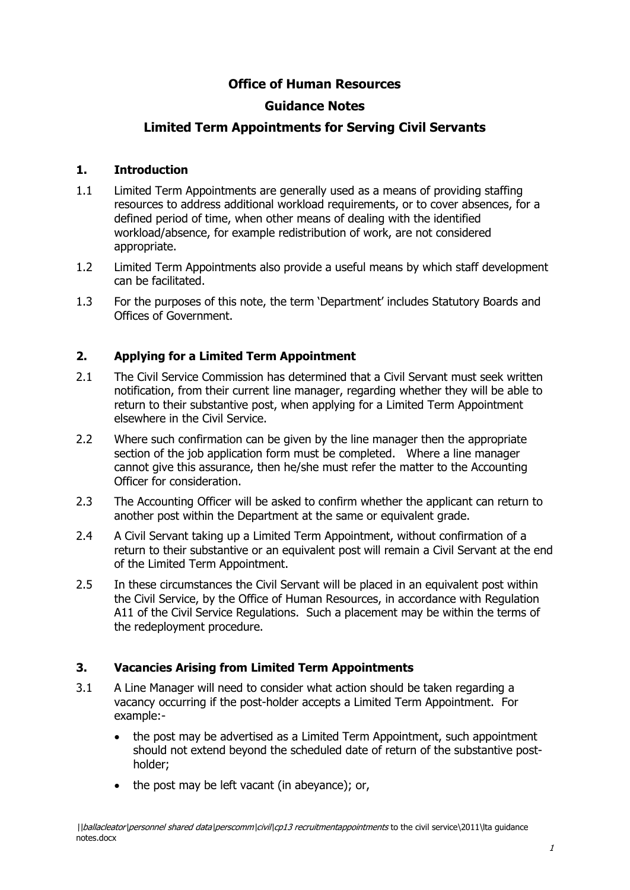# **Office of Human Resources**

# **Guidance Notes**

# **Limited Term Appointments for Serving Civil Servants**

#### **1. Introduction**

- 1.1 Limited Term Appointments are generally used as a means of providing staffing resources to address additional workload requirements, or to cover absences, for a defined period of time, when other means of dealing with the identified workload/absence, for example redistribution of work, are not considered appropriate.
- 1.2 Limited Term Appointments also provide a useful means by which staff development can be facilitated.
- 1.3 For the purposes of this note, the term 'Department' includes Statutory Boards and Offices of Government.

## **2. Applying for a Limited Term Appointment**

- 2.1 The Civil Service Commission has determined that a Civil Servant must seek written notification, from their current line manager, regarding whether they will be able to return to their substantive post, when applying for a Limited Term Appointment elsewhere in the Civil Service.
- 2.2 Where such confirmation can be given by the line manager then the appropriate section of the job application form must be completed. Where a line manager cannot give this assurance, then he/she must refer the matter to the Accounting Officer for consideration.
- 2.3 The Accounting Officer will be asked to confirm whether the applicant can return to another post within the Department at the same or equivalent grade.
- 2.4 A Civil Servant taking up a Limited Term Appointment, without confirmation of a return to their substantive or an equivalent post will remain a Civil Servant at the end of the Limited Term Appointment.
- 2.5 In these circumstances the Civil Servant will be placed in an equivalent post within the Civil Service, by the Office of Human Resources, in accordance with Regulation A11 of the Civil Service Regulations. Such a placement may be within the terms of the redeployment procedure.

## **3. Vacancies Arising from Limited Term Appointments**

- 3.1 A Line Manager will need to consider what action should be taken regarding a vacancy occurring if the post-holder accepts a Limited Term Appointment. For example:
	- the post may be advertised as a Limited Term Appointment, such appointment should not extend beyond the scheduled date of return of the substantive postholder;
	- the post may be left vacant (in abeyance); or,